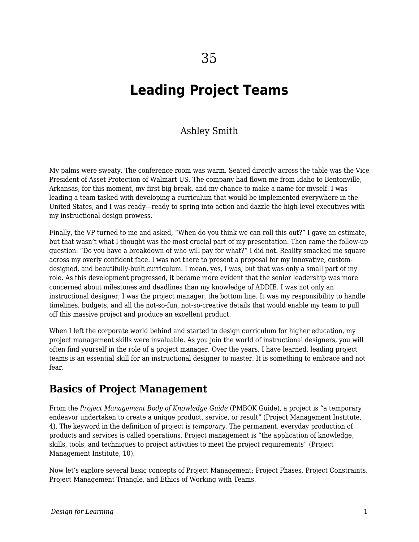# **Leading Project Teams**

### Ashley Smith

My palms were sweaty. The conference room was warm. Seated directly across the table was the Vice President of Asset Protection of Walmart US. The company had flown me from Idaho to Bentonville, Arkansas, for this moment, my first big break, and my chance to make a name for myself. I was leading a team tasked with developing a curriculum that would be implemented everywhere in the United States, and I was ready—ready to spring into action and dazzle the high-level executives with my instructional design prowess.

Finally, the VP turned to me and asked, "When do you think we can roll this out?" I gave an estimate, but that wasn't what I thought was the most crucial part of my presentation. Then came the follow-up question. "Do you have a breakdown of who will pay for what?" I did not. Reality smacked me square across my overly confident face. I was not there to present a proposal for my innovative, customdesigned, and beautifully-built curriculum. I mean, yes, I was, but that was only a small part of my role. As this development progressed, it became more evident that the senior leadership was more concerned about milestones and deadlines than my knowledge of ADDIE. I was not only an instructional designer; I was the project manager, the bottom line. It was my responsibility to handle timelines, budgets, and all the not-so-fun, not-so-creative details that would enable my team to pull off this massive project and produce an excellent product.

When I left the corporate world behind and started to design curriculum for higher education, my project management skills were invaluable. As you join the world of instructional designers, you will often find yourself in the role of a project manager. Over the years, I have learned, leading project teams is an essential skill for an instructional designer to master. It is something to embrace and not fear.

## **Basics of Project Management**

From the *Project Management Body of Knowledge Guide* (PMBOK Guide), a project is "a temporary endeavor undertaken to create a unique product, service, or result" (Project Management Institute, 4). The keyword in the definition of project is *temporary*. The permanent, everyday production of products and services is called operations. Project management is "the application of knowledge, skills, tools, and techniques to project activities to meet the project requirements" (Project Management Institute, 10).

Now let's explore several basic concepts of Project Management: Project Phases, Project Constraints, Project Management Triangle, and Ethics of Working with Teams.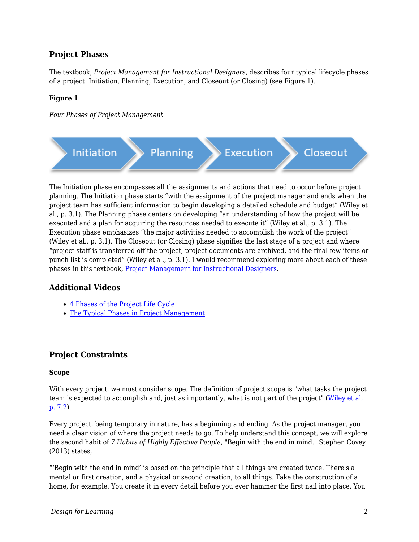#### **Project Phases**

The textbook, *Project Management for Instructional Designers*, describes four typical lifecycle phases of a project: Initiation, Planning, Execution, and Closeout (or Closing) (see Figure 1).

#### **Figure 1**

*Four Phases of Project Management*



The Initiation phase encompasses all the assignments and actions that need to occur before project planning. The Initiation phase starts "with the assignment of the project manager and ends when the project team has sufficient information to begin developing a detailed schedule and budget" (Wiley et al., p. 3.1). The Planning phase centers on developing "an understanding of how the project will be executed and a plan for acquiring the resources needed to execute it" (Wiley et al., p. 3.1). The Execution phase emphasizes "the major activities needed to accomplish the work of the project" (Wiley et al., p. 3.1). The Closeout (or Closing) phase signifies the last stage of a project and where "project staff is transferred off the project, project documents are archived, and the final few items or punch list is completed" (Wiley et al., p. 3.1). I would recommend exploring more about each of these phases in this textbook, [Project Management for Instructional Designers.](https://pm4id.org/chapter/3-1-project-phases-and-organization/)

#### **Additional Videos**

- [4 Phases of the Project Life Cycle](https://youtu.be/N3N9-RLSbvo)
- [The Typical Phases in Project Management](https://www.youtube.com/watch?v=sLgdRO5IS9U)

#### **Project Constraints**

#### **Scope**

With every project, we must consider scope. The definition of project scope is "what tasks the project team is expected to accomplish and, just as importantly, what is not part of the project" [\(Wiley et al,](https://pm4id.org/chapter/7-2-project-scope/) [p. 7.2\)](https://pm4id.org/chapter/7-2-project-scope/).

Every project, being temporary in nature, has a beginning and ending. As the project manager, you need a clear vision of where the project needs to go. To help understand this concept, we will explore the second habit of *7 Habits of Highly Effective People*, "Begin with the end in mind." Stephen Covey (2013) states,

"'Begin with the end in mind' is based on the principle that all things are created twice. There's a mental or first creation, and a physical or second creation, to all things. Take the construction of a home, for example. You create it in every detail before you ever hammer the first nail into place. You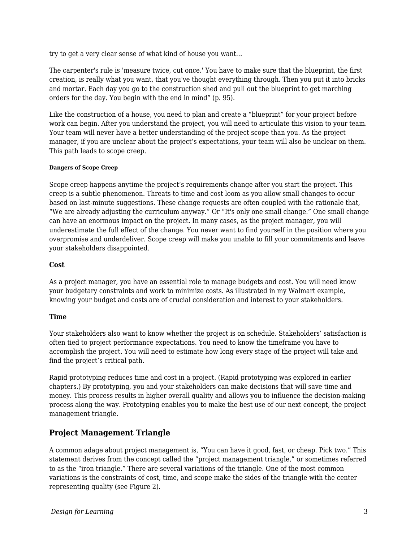try to get a very clear sense of what kind of house you want…

The carpenter's rule is 'measure twice, cut once.' You have to make sure that the blueprint, the first creation, is really what you want, that you've thought everything through. Then you put it into bricks and mortar. Each day you go to the construction shed and pull out the blueprint to get marching orders for the day. You begin with the end in mind" (p. 95).

Like the construction of a house, you need to plan and create a "blueprint" for your project before work can begin. After you understand the project, you will need to articulate this vision to your team. Your team will never have a better understanding of the project scope than you. As the project manager, if you are unclear about the project's expectations, your team will also be unclear on them. This path leads to scope creep.

#### **Dangers of Scope Creep**

Scope creep happens anytime the project's requirements change after you start the project. This creep is a subtle phenomenon. Threats to time and cost loom as you allow small changes to occur based on last-minute suggestions. These change requests are often coupled with the rationale that, "We are already adjusting the curriculum anyway." Or "It's only one small change." One small change can have an enormous impact on the project. In many cases, as the project manager, you will underestimate the full effect of the change. You never want to find yourself in the position where you overpromise and underdeliver. Scope creep will make you unable to fill your commitments and leave your stakeholders disappointed.

#### **Cost**

As a project manager, you have an essential role to manage budgets and cost. You will need know your budgetary constraints and work to minimize costs. As illustrated in my Walmart example, knowing your budget and costs are of crucial consideration and interest to your stakeholders.

#### **Time**

Your stakeholders also want to know whether the project is on schedule. Stakeholders' satisfaction is often tied to project performance expectations. You need to know the timeframe you have to accomplish the project. You will need to estimate how long every stage of the project will take and find the project's critical path.

Rapid prototyping reduces time and cost in a project. (Rapid prototyping was explored in earlier chapters.) By prototyping, you and your stakeholders can make decisions that will save time and money. This process results in higher overall quality and allows you to influence the decision-making process along the way. Prototyping enables you to make the best use of our next concept, the project management triangle.

#### **Project Management Triangle**

A common adage about project management is, "You can have it good, fast, or cheap. Pick two." This statement derives from the concept called the "project management triangle," or sometimes referred to as the "iron triangle." There are several variations of the triangle. One of the most common variations is the constraints of cost, time, and scope make the sides of the triangle with the center representing quality (see Figure 2).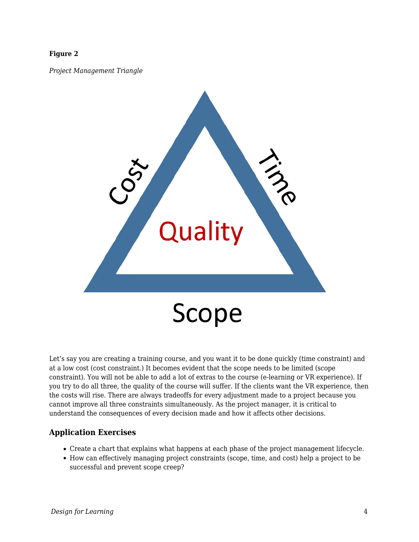#### **Figure 2**

*Project Management Triangle*



Let's say you are creating a training course, and you want it to be done quickly (time constraint) and at a low cost (cost constraint.) It becomes evident that the scope needs to be limited (scope constraint). You will not be able to add a lot of extras to the course (e-learning or VR experience). If you try to do all three, the quality of the course will suffer. If the clients want the VR experience, then the costs will rise. There are always tradeoffs for every adjustment made to a project because you cannot improve all three constraints simultaneously. As the project manager, it is critical to understand the consequences of every decision made and how it affects other decisions.

#### **Application Exercises**

- Create a chart that explains what happens at each phase of the project management lifecycle.
- How can effectively managing project constraints (scope, time, and cost) help a project to be successful and prevent scope creep?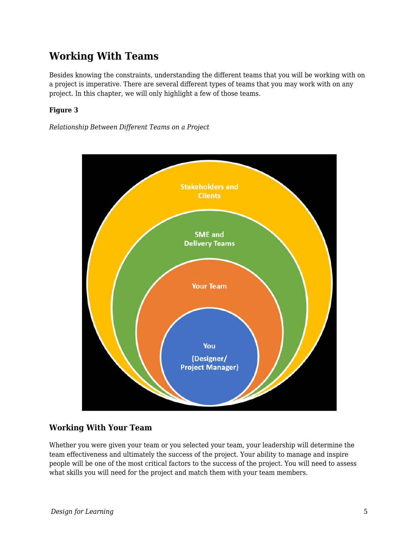## **Working With Teams**

Besides knowing the constraints, understanding the different teams that you will be working with on a project is imperative. There are several different types of teams that you may work with on any project. In this chapter, we will only highlight a few of those teams.

#### **Figure 3**

*Relationship Between Different Teams on a Project*



#### **Working With Your Team**

Whether you were given your team or you selected your team, your leadership will determine the team effectiveness and ultimately the success of the project. Your ability to manage and inspire people will be one of the most critical factors to the success of the project. You will need to assess what skills you will need for the project and match them with your team members.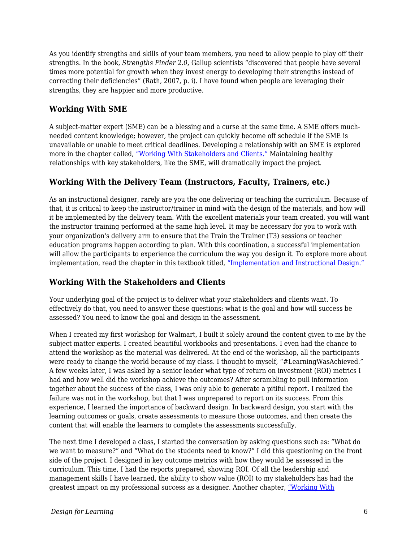As you identify strengths and skills of your team members, you need to allow people to play off their strengths. In the book, *Strengths Finder 2.0*, Gallup scientists "discovered that people have several times more potential for growth when they invest energy to developing their strengths instead of correcting their deficiencies" (Rath, 2007, p. i). I have found when people are leveraging their strengths, they are happier and more productive.

### **Working With SME**

A subject-matter expert (SME) can be a blessing and a curse at the same time. A SME offers muchneeded content knowledge; however, the project can quickly become off schedule if the SME is unavailable or unable to meet critical deadlines. Developing a relationship with an SME is explored more in the chapter called, ["Working With Stakeholders and Clients."](https://edtechbooks.org/id/working_with_stakeholders) Maintaining healthy relationships with key stakeholders, like the SME, will dramatically impact the project.

#### **Working With the Delivery Team (Instructors, Faculty, Trainers, etc.)**

As an instructional designer, rarely are you the one delivering or teaching the curriculum. Because of that, it is critical to keep the instructor/trainer in mind with the design of the materials, and how will it be implemented by the delivery team. With the excellent materials your team created, you will want the instructor training performed at the same high level. It may be necessary for you to work with your organization's delivery arm to ensure that the Train the Trainer (T3) sessions or teacher education programs happen according to plan. With this coordination, a successful implementation will allow the participants to experience the curriculum the way you design it. To explore more about implementation, read the chapter in this textbook titled, ["Implementation and Instructional Design."](https://edtechbooks.org/id/implementation_and_i)

#### **Working With the Stakeholders and Clients**

Your underlying goal of the project is to deliver what your stakeholders and clients want. To effectively do that, you need to answer these questions: what is the goal and how will success be assessed? You need to know the goal and design in the assessment.

When I created my first workshop for Walmart, I built it solely around the content given to me by the subject matter experts. I created beautiful workbooks and presentations. I even had the chance to attend the workshop as the material was delivered. At the end of the workshop, all the participants were ready to change the world because of my class. I thought to myself, "#LearningWasAchieved." A few weeks later, I was asked by a senior leader what type of return on investment (ROI) metrics I had and how well did the workshop achieve the outcomes? After scrambling to pull information together about the success of the class, I was only able to generate a pitiful report. I realized the failure was not in the workshop, but that I was unprepared to report on its success. From this experience, I learned the importance of backward design. In backward design, you start with the learning outcomes or goals, create assessments to measure those outcomes, and then create the content that will enable the learners to complete the assessments successfully.

The next time I developed a class, I started the conversation by asking questions such as: "What do we want to measure?" and "What do the students need to know?" I did this questioning on the front side of the project. I designed in key outcome metrics with how they would be assessed in the curriculum. This time, I had the reports prepared, showing ROI. Of all the leadership and management skills I have learned, the ability to show value (ROI) to my stakeholders has had the greatest impact on my professional success as a designer. Another chapter, ["Working With](https://edtechbooks.org/id/working_with_stakeholders)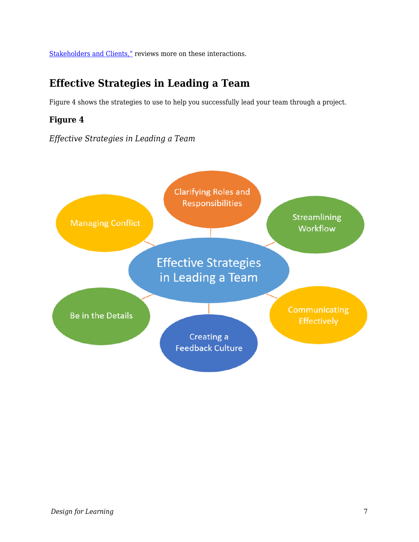[Stakeholders and Clients,"](https://edtechbooks.org/id/working_with_stakeholders) reviews more on these interactions.

## **Effective Strategies in Leading a Team**

Figure 4 shows the strategies to use to help you successfully lead your team through a project.

### **Figure 4**

*Effective Strategies in Leading a Team*

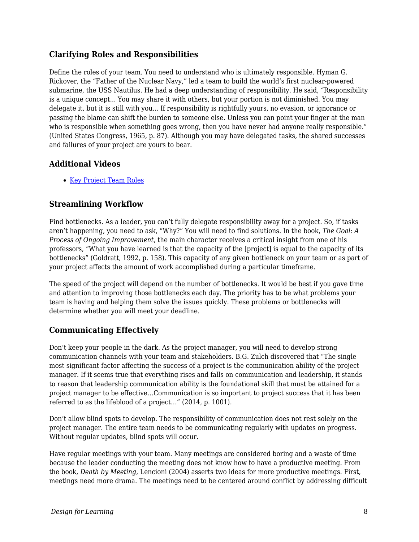#### **Clarifying Roles and Responsibilities**

Define the roles of your team. You need to understand who is ultimately responsible. Hyman G. Rickover, the "Father of the Nuclear Navy," led a team to build the world's first nuclear-powered submarine, the USS Nautilus. He had a deep understanding of responsibility. He said, "Responsibility is a unique concept... You may share it with others, but your portion is not diminished. You may delegate it, but it is still with you... If responsibility is rightfully yours, no evasion, or ignorance or passing the blame can shift the burden to someone else. Unless you can point your finger at the man who is responsible when something goes wrong, then you have never had anyone really responsible." (United States Congress, 1965, p. 87). Although you may have delegated tasks, the shared successes and failures of your project are yours to bear.

#### **Additional Videos**

• [Key Project Team Roles](https://youtu.be/KDbYzGY_QiE)

#### **Streamlining Workflow**

Find bottlenecks. As a leader, you can't fully delegate responsibility away for a project. So, if tasks aren't happening, you need to ask, "Why?" You will need to find solutions. In the book, *The Goal: A Process of Ongoing Improvement*, the main character receives a critical insight from one of his professors, "What you have learned is that the capacity of the [project] is equal to the capacity of its bottlenecks" (Goldratt, 1992, p. 158). This capacity of any given bottleneck on your team or as part of your project affects the amount of work accomplished during a particular timeframe.

The speed of the project will depend on the number of bottlenecks. It would be best if you gave time and attention to improving those bottlenecks each day. The priority has to be what problems your team is having and helping them solve the issues quickly. These problems or bottlenecks will determine whether you will meet your deadline.

### **Communicating Effectively**

Don't keep your people in the dark. As the project manager, you will need to develop strong communication channels with your team and stakeholders. B.G. Zulch discovered that "The single most significant factor affecting the success of a project is the communication ability of the project manager. If it seems true that everything rises and falls on communication and leadership, it stands to reason that leadership communication ability is the foundational skill that must be attained for a project manager to be effective…Communication is so important to project success that it has been referred to as the lifeblood of a project…" (2014, p. 1001).

Don't allow blind spots to develop. The responsibility of communication does not rest solely on the project manager. The entire team needs to be communicating regularly with updates on progress. Without regular updates, blind spots will occur.

Have regular meetings with your team. Many meetings are considered boring and a waste of time because the leader conducting the meeting does not know how to have a productive meeting. From the book, *Death by Meeting*, Lencioni (2004) asserts two ideas for more productive meetings. First, meetings need more drama. The meetings need to be centered around conflict by addressing difficult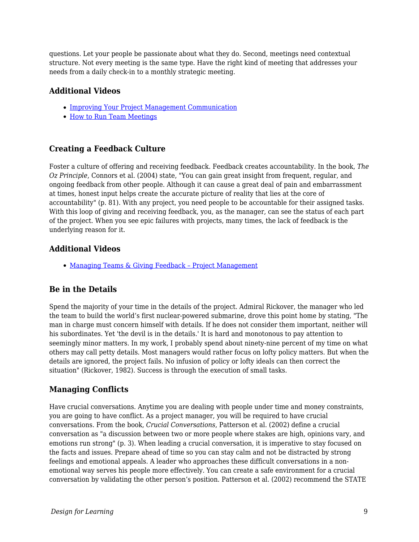questions. Let your people be passionate about what they do. Second, meetings need contextual structure. Not every meeting is the same type. Have the right kind of meeting that addresses your needs from a daily check-in to a monthly strategic meeting.

#### **Additional Videos**

- [Improving Your Project Management Communication](https://www.youtube.com/watch?v=1RqnvRYfNyQ)
- [How to Run Team Meetings](https://youtu.be/xW0CjH95K3Q)

#### **Creating a Feedback Culture**

Foster a culture of offering and receiving feedback. Feedback creates accountability. In the book, *The Oz Principle*, Connors et al. (2004) state, "You can gain great insight from frequent, regular, and ongoing feedback from other people. Although it can cause a great deal of pain and embarrassment at times, honest input helps create the accurate picture of reality that lies at the core of accountability" (p. 81). With any project, you need people to be accountable for their assigned tasks. With this loop of giving and receiving feedback, you, as the manager, can see the status of each part of the project. When you see epic failures with projects, many times, the lack of feedback is the underlying reason for it.

#### **Additional Videos**

• Managing Teams & Giving Feedback - Project Management

#### **Be in the Details**

Spend the majority of your time in the details of the project. Admiral Rickover, the manager who led the team to build the world's first nuclear-powered submarine, drove this point home by stating, "The man in charge must concern himself with details. If he does not consider them important, neither will his subordinates. Yet 'the devil is in the details.' It is hard and monotonous to pay attention to seemingly minor matters. In my work, I probably spend about ninety-nine percent of my time on what others may call petty details. Most managers would rather focus on lofty policy matters. But when the details are ignored, the project fails. No infusion of policy or lofty ideals can then correct the situation" (Rickover, 1982). Success is through the execution of small tasks.

#### **Managing Conflicts**

Have crucial conversations. Anytime you are dealing with people under time and money constraints, you are going to have conflict. As a project manager, you will be required to have crucial conversations. From the book, *Crucial Conversations*, Patterson et al. (2002) define a crucial conversation as "a discussion between two or more people where stakes are high, opinions vary, and emotions run strong" (p. 3). When leading a crucial conversation, it is imperative to stay focused on the facts and issues. Prepare ahead of time so you can stay calm and not be distracted by strong feelings and emotional appeals. A leader who approaches these difficult conversations in a nonemotional way serves his people more effectively. You can create a safe environment for a crucial conversation by validating the other person's position. Patterson et al. (2002) recommend the STATE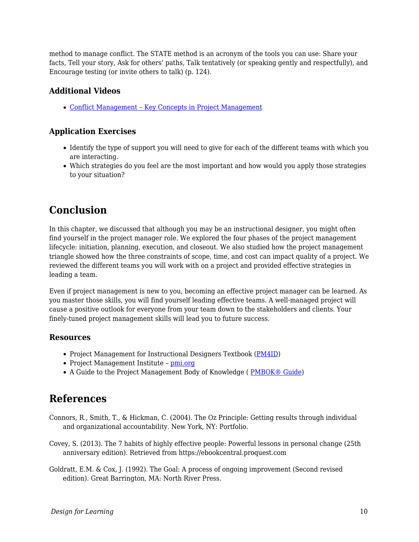method to manage conflict. The STATE method is an acronym of the tools you can use: Share your facts, Tell your story, Ask for others' paths, Talk tentatively (or speaking gently and respectfully), and Encourage testing (or invite others to talk) (p. 124).

### **Additional Videos**

[Conflict Management – Key Concepts in Project Management](https://youtu.be/wSwtbok3rv0)

### **Application Exercises**

- Identify the type of support you will need to give for each of the different teams with which you are interacting.
- Which strategies do you feel are the most important and how would you apply those strategies to your situation?

## **Conclusion**

In this chapter, we discussed that although you may be an instructional designer, you might often find yourself in the project manager role. We explored the four phases of the project management lifecycle: initiation, planning, execution, and closeout. We also studied how the project management triangle showed how the three constraints of scope, time, and cost can impact quality of a project. We reviewed the different teams you will work with on a project and provided effective strategies in leading a team.

Even if project management is new to you, becoming an effective project manager can be learned. As you master those skills, you will find yourself leading effective teams. A well-managed project will cause a positive outlook for everyone from your team down to the stakeholders and clients. Your finely-tuned project management skills will lead you to future success.

#### **Resources**

- Project Management for Instructional Designers Textbook ([PM4ID\)](https://pm4id.org/)
- Project Management Institute - [pmi.org](https://www.pmi.org/)
- A Guide to the Project Management Body of Knowledge (PMBOK® Guide)

## **References**

- Connors, R., Smith, T., & Hickman, C. (2004). The Oz Principle: Getting results through individual and organizational accountability. New York, NY: Portfolio.
- Covey, S. (2013). The 7 habits of highly effective people: Powerful lessons in personal change (25th anniversary edition). Retrieved from https://ebookcentral.proquest.com
- Goldratt, E.M. & Cox, J. (1992). The Goal: A process of ongoing improvement (Second revised edition). Great Barrington, MA: North River Press.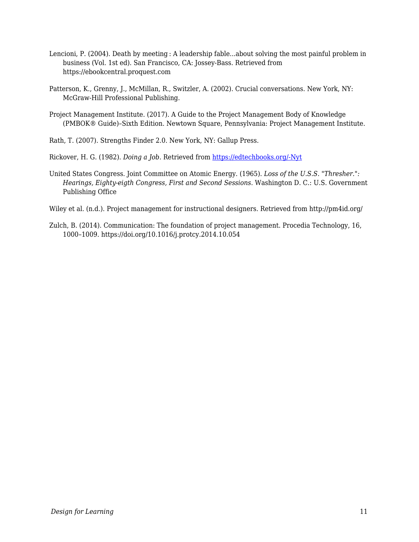- Lencioni, P. (2004). Death by meeting : A leadership fable...about solving the most painful problem in business (Vol. 1st ed). San Francisco, CA: Jossey-Bass. Retrieved from https://ebookcentral.proquest.com
- Patterson, K., Grenny, J., McMillan, R., Switzler, A. (2002). Crucial conversations. New York, NY: McGraw-Hill Professional Publishing.
- Project Management Institute. (2017). A Guide to the Project Management Body of Knowledge (PMBOK® Guide)–Sixth Edition. Newtown Square, Pennsylvania: Project Management Institute.
- Rath, T. (2007). Strengths Finder 2.0. New York, NY: Gallup Press.
- Rickover, H. G. (1982). *Doing a Job*. Retrieved from [https://edtechbooks.org/-Nyt](https://govleaders.org/rickover.htm)
- United States Congress. Joint Committee on Atomic Energy. (1965). *Loss of the U.S.S. "Thresher.": Hearings, Eighty-eigth Congress, First and Second Sessions*. Washington D. C.: U.S. Government Publishing Office
- Wiley et al. (n.d.). Project management for instructional designers. Retrieved from http://pm4id.org/
- Zulch, B. (2014). Communication: The foundation of project management. Procedia Technology, 16, 1000–1009. https://doi.org/10.1016/j.protcy.2014.10.054